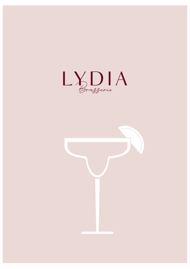

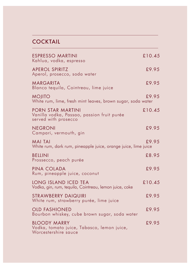## **COCKTAIL**

| <b>ESPRESSO MARTINI</b><br>Kahlua, vodka, espresso                                        | £10.45 |
|-------------------------------------------------------------------------------------------|--------|
| <b>APEROL SPIRITZ</b><br>Aperol, prosecco, soda water                                     | £9.95  |
| MARGARITA<br>Blanco tequila, Cointreau, lime juice                                        | £9.95  |
| <b>MOJITO</b><br>White rum, lime, fresh mint leaves, brown sugar, soda water              | £9.95  |
| PORN STAR MARTINI<br>Vanilla vodka, Passao, passion fruit purée<br>served with prosecco   | £10.45 |
| <b>NEGRONI</b><br>Campari, vermouth, gin                                                  | £9.95  |
| <b>MAI TAI</b><br>White rum, dark rum, pineapple juice, orange juice, lime juice          | £9.95  |
| <b>BELLINI</b><br>Prossecco, peach purée                                                  | £8.95  |
| PINA COLADA<br>Rum, pineapple juice, coconut                                              | £9.95  |
| LONG ISLAND ICED TEA<br>Vodka, gin, rum, tequila, Cointreau, lemon juice, coke            | £10.45 |
| <b>STRAWBERRY DAIQUIRI</b><br>White rum, strawberry purée, lime juice                     | £9.95  |
| <b>OLD FASHIONED</b><br>Bourbon whiskey, cube brown sugar, soda water                     | £9.95  |
| <b>BLOODY MARRY</b><br>Vodka, tomato juice, Tabasco, lemon juice,<br>Worcestershire sauce | £9.95  |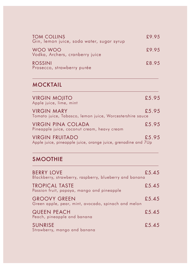| <b>TOM COLLINS</b><br>Gin, lemon juice, soda water, sugar syrup | £9.95 |
|-----------------------------------------------------------------|-------|
| WOO WOO<br>Vodka, Archers, cranberry juice                      | £9.95 |
| <b>ROSSINI</b><br>Prosecco, strawberry purée                    | £8.95 |

## MOCKTAIL

| VIRGIN MOJITO<br>Apple juice, lime, mint                                                | £5.95 |
|-----------------------------------------------------------------------------------------|-------|
| <b>VIRGIN MARY</b><br>Tomato juice, Tabasco, lemon juice, Worcestershire sauce          | £5.95 |
| VIRGIN PINA COLADA<br>Pineapple juice, coconut cream, heavy cream                       | £5.95 |
| <b>VIRGIN FRUITADO</b><br>Apple juice, pineapple juice, orange juice, grenadine and 7Up | £5.95 |

## SMOOTHIE

| <b>BERRY LOVE</b><br>Blackberry, strawberry, raspberry, blueberry and banana | £5.45 |
|------------------------------------------------------------------------------|-------|
| <b>TROPICAL TASTE</b><br>Passion fruit, papaya, mango and pineapple          | £5.45 |
| <b>GROOVY GREEN</b><br>Green apple, pear, mint, avocado, spinach and melon   | £5.45 |
| <b>QUEEN PEACH</b><br>Peach, pineapple and banana                            | £5.45 |
| <b>SUNRISE</b><br>Strawberry, mango and banana                               | £5.45 |